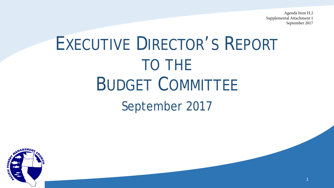Agenda Item H.2 Supplemental Attachment 1 September 2017

# EXECUTIVE DIRECTOR'S REPORT TO THE BUDGET COMMITTEE September 2017

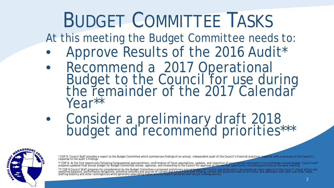# BUDGET COMMITTEE TASKS

At this meeting the Budget Committee needs to:

- Approve Results of the 2016 Audit\*
- Recommend a 2017 Operational Budget to the Council for use during the remainder of the 2017 Calendar Year\*\*
- Consider a preliminary draft 2018 budget and recommend priorities\*\*\*



\* COP 9: Council Staff provides a report to the Budget Committee which summarizes findings of an annual, independent audit of the Council's financial practices, together with a summary of the Council's response to the audi

\*\* COP 9: At the first opportunity following Congressional appropriations, confirmation of fiscal assumptions, updates, and resolution of uncertainties contained in the preliminary annual budget, Council staff<br>prepares upd

\*\*\* COP 9:Council Staff prepares for consideration by the Budget Committee a proposed preliminary annual budget for Council operations which documents all major aspects of the Council's fiscal affairs and<br>identifies balanc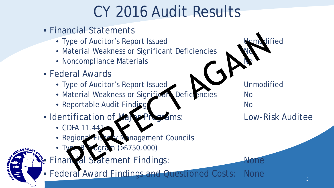## CY 2016 Audit Results

- Financial Statements
	- Type of Auditor's Report Issued North School and Unmodified
	- Material Weakness or Significant Deficiencies
	- Noncompliance Materials
- Federal Awards
	- Type of Auditor's Report Issued Van Martin Unmodified
	- Material Weakness or Significant Deficiencies No
	- Reportable Audit Finding No
- Identification of Major Programs: Low-Risk Auditee
	- CDFA 11.441
	- Regional Fishery Management Councils
	- **Ogram (>\$750,000)**

Financial Statement Findings: None

• Federal Award Findings and Questioned Costs: None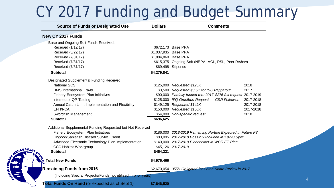### CY 2017 Funding and Budget Summary

| <b>Source of Funds or Designated Use</b>                       | <b>Dollars</b>       | <b>Comments</b>                                                  |           |
|----------------------------------------------------------------|----------------------|------------------------------------------------------------------|-----------|
| New CY 2017 Funds                                              |                      |                                                                  |           |
| Base and Ongoing Soft Funds Received:                          |                      |                                                                  |           |
| Received (1/12/17)                                             |                      | \$672,173 Base PPA                                               |           |
| Received (3/22/17)                                             | \$1,037,935 Base PPA |                                                                  |           |
| Received (7/31/17)                                             | \$1,884,860 Base PPA |                                                                  |           |
| Received (7/31/17)                                             |                      | \$615,375 Ongoing Soft (NEPA, ACL, RSL, Peer Review)             |           |
| Received (7/31/17)                                             |                      | \$69,498 Stipends                                                |           |
| <b>Subtotal</b>                                                | \$4,279,841          |                                                                  |           |
| Designated Supplemental Funding Received                       |                      |                                                                  |           |
| <b>National SCS</b>                                            |                      | \$125,000 Requested \$125K                                       | 2018      |
| <b>HMS</b> International Travel                                |                      | \$3,500 Requested \$3.5K for ISC Rappatour                       | 2017      |
| <b>Fishery Ecosystem Plan Initiatives</b>                      |                      | \$90,000 Partially funded thru 2017 \$276 full request 2017-2019 |           |
| Intersector QP Trading                                         |                      | \$125,000 IFQ Omnibus Request<br>CSR Follow-on                   | 2017-2018 |
| Annual Catch Limit Implementation and Flexibility              |                      | \$149,125 Requested \$149K                                       | 2017-2018 |
| EFH/RCA                                                        |                      | \$150,000 Requested \$150K                                       | 2017-2018 |
| Swordfish Management                                           | \$54,000             | Non-specific request                                             | 2018      |
| <b>Subtotal</b>                                                | \$696,625            |                                                                  |           |
| Additional Supplemental Funding Requested but Not Received     |                      |                                                                  |           |
| Fishery Ecosystem Plan Initiatives                             |                      | \$186,000 2018-2019 Remaining Portion Expected in Future FY      |           |
| Lingcod/Sablefish Discard Survival Credit                      |                      | \$83,095 2017-2018 Possibly Included in '19-'20 Spex             |           |
| Advanced Electronic Technology Plan Implementation             |                      | \$140,000 2017-2019 Placeholder in WCR ET Plan                   |           |
| <b>CCC Habitat Workgroup</b>                                   |                      | \$45,126 2017-2019                                               |           |
| <b>Subtotal</b>                                                | \$454,221            |                                                                  |           |
| Total New Funds                                                | \$4,976,466          |                                                                  |           |
| <b>Remaining Funds from 2016</b>                               |                      | \$2,670,054 355K Obligated for Catch Share Review in 2017        |           |
| (Including Special Projects/Funds not utilized in prior year.) |                      |                                                                  |           |
| <b>Total Funds On Hand</b> (or expected as of Sept 1)          | \$7,646,520          |                                                                  |           |

NAGEMEN

**ATTIC FIL** 

4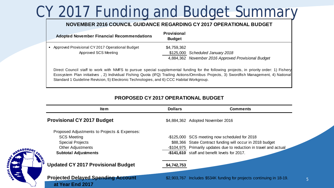## CY 2017 Funding and Budget Summary

#### **NOVEMBER 2016 COUNCIL GUIDANCE REGARDING CY 2017 OPERATIONAL BUDGET**

| <b>Adopted November Financial Recommendations</b>                         | <b>Provisional</b><br><b>Budget</b> |                                                     |
|---------------------------------------------------------------------------|-------------------------------------|-----------------------------------------------------|
| • Approved Provisional CY 2017 Operational Budget<br>Approved SCS Meeting | \$4,759,362                         | \$125,000 Scheduled January 2018                    |
|                                                                           |                                     | 4,884,362 November 2016 Approved Provisional Budget |

Direct Council staff to work with NMFS to pursue special supplemental funding for the following projects, in priority order: 1) Fishery Ecosystem Plan initiatives , 2) Individual Fishing Quota (IFQ) Trailing Actions/Omnibus Projects, 3) Swordfish Management, 4) National Standard 1 Guideline Revision, 5) Electronic Technologies, and 6) CCC Habitat Workgroup.

#### **PROPOSED CY 2017 OPERATIONAL BUDGET**

| Item                                                          | <b>Dollars</b> | Comments                                                              |    |
|---------------------------------------------------------------|----------------|-----------------------------------------------------------------------|----|
| <b>Provisional CY 2017 Budget</b>                             |                | \$4,884,362 Adopted November 2016                                     |    |
| Proposed Adjustments to Projects & Expenses:                  |                |                                                                       |    |
| <b>SCS Meeting</b>                                            |                | -\$125,000 SCS meeting now scheduled for 2018                         |    |
| <b>Special Projects</b>                                       |                | \$88,366 State Contract funding will occur in 2018 budget             |    |
| <b>Other Adjustments</b>                                      |                | -\$104,975 Primarily updates due to reduction in travel and actual    |    |
| <b>Subtotal Adjustments</b>                                   |                | -\$141,610 staff and benefit levels for 2017.                         |    |
|                                                               |                |                                                                       |    |
| <b>Updated CY 2017 Provisional Budget</b>                     | \$4,742,753    |                                                                       |    |
|                                                               |                |                                                                       |    |
| <b>Projected Delayed Spending Account</b><br>at Year End 2017 |                | \$2,903,767 Includes \$534K funding for projects continuing in 18-19. | 5. |

**ANGEME**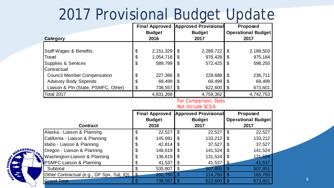### 2017 Provisional Budget Update

|                                     |                       | <b>Final Approved</b><br><b>Budget</b> |    | <b>Approved Provisional</b><br><b>Budget</b> | Proposed<br><b>Operational Budget</b> |           |  |
|-------------------------------------|-----------------------|----------------------------------------|----|----------------------------------------------|---------------------------------------|-----------|--|
| Category                            |                       | 2016                                   |    | 2017                                         |                                       | 2017      |  |
| <b>Staff Wages &amp; Benefits</b>   | \$                    | 2,151,329                              | \$ | 2,289,722                                    | - \$                                  | 2,189,503 |  |
| Travel                              | \$                    | 1,054,718                              | S  | 976,428                                      | \$                                    | 975,184   |  |
| Supplies & Services                 | $\boldsymbol{\theta}$ | 589,799                                | S  | 572,425                                      | \$                                    | 598,255   |  |
| <b>Contractual</b>                  |                       |                                        |    |                                              |                                       |           |  |
| <b>Council Member Compensation</b>  | \$                    | 227,366                                | \$ | 228,688                                      | \$                                    | 236,711   |  |
| <b>Advisory Body Stipends</b>       | \$                    | 69,499                                 | S  | 69,499                                       | S                                     | 69,499    |  |
| Liaison & Pln (State, PSMFC, Other) | \$                    | 738,557                                | S  | 622,600                                      | -\$                                   | 673,601   |  |
| Total 2017                          |                       | 4,831,268                              |    | 4,759,362                                    |                                       | 4,742,753 |  |

#### For Comparison; Does

#### Not Include SCS-6

|                                           | <b>Final Approved</b> |               | <b>Approved Provisional</b> |               | Proposed |                           |
|-------------------------------------------|-----------------------|---------------|-----------------------------|---------------|----------|---------------------------|
|                                           |                       | <b>Budget</b> |                             | <b>Budget</b> |          | <b>Operational Budget</b> |
| <b>Contract</b>                           |                       | 2016          |                             | 2017          |          | 2017                      |
| Alaska - Liaison & Planning               | \$                    | 22,527        | -\$                         | 22,527        | S        | 22,527                    |
| California - Liaison & Planning           | \$                    | 145,691       |                             | 133,212       |          | 133,212                   |
| Idaho - Liaison & Planning                | \$                    | 42,814        |                             | 37,527        |          | 37,527                    |
| Oregon - Liaison & Planning               | \$                    | 146,619       |                             | 141,524       |          | 141,524                   |
| Washington-Liaison & Planning             | \$                    | 136,619       |                             | 131,524       |          | 131,524                   |
| <b>EPSMFC-Liaison &amp; Planning</b>      |                       | 41,537        |                             | 41,537        |          | 41,537                    |
| Subtotal                                  |                       | 535,807       |                             | 507,850       |          | 507,851                   |
| Other Contractual (e.g., GF Spx, Sal, IQ) | <u>_\$</u>            | 202,750       |                             | 114,750       |          | 165,750                   |
| <b>Grand Total</b>                        |                       | 738,557       |                             | 622,600       |          | 673,601                   |

**NAGEME** 

CIFIC FIS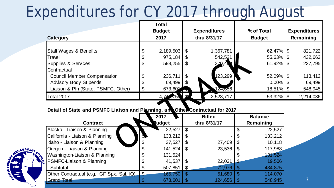## Expenditures for CY 2017 through August

|                                     |                       | <b>Total</b><br><b>Budget</b> |                | <b>Expenditures</b> | % of Total    |  | <b>Expenditures</b> |  |
|-------------------------------------|-----------------------|-------------------------------|----------------|---------------------|---------------|--|---------------------|--|
| Category                            |                       | 2017                          |                | thru 8/31/17        | <b>Budget</b> |  | Remaining           |  |
| <b>Staff Wages &amp; Benefits</b>   | \$                    | 2,189,503                     | -\$            | 1,367,781           | $62.47\%$ \$  |  | 821,722             |  |
| Travel                              | \$                    | 975,184                       |                | 542,521             | $55.63\%$ \$  |  | 432,663             |  |
| Supplies & Services<br>Contractual  | $\boldsymbol{\theta}$ | 598,255                       | \$             | 370,45              | $61.92\%$ \$  |  | 227,795             |  |
| <b>Council Member Compensation</b>  | \$                    | 236,711                       | $\mathfrak{S}$ | 123,299             | 52.09% \$     |  | 113,412             |  |
| <b>Advisory Body Stipends</b>       | \$                    | 69,499                        |                |                     | $0.00\%$ \$   |  | 69,499              |  |
| Liaison & Pln (State, PSMFC, Other) | \$                    | 673,601                       |                | 124,656             | 18.51% \$     |  | 548,945             |  |
| <b>Total 2017</b>                   |                       |                               |                | 2,528,717           | 53.32% \$     |  | 2,214,036           |  |

7

### Detail of State and PSMFC Liaison and Planning, and Other Contractual for 2017

|                                           | 2017          |    | <b>Billed</b> | <b>Balance</b> |
|-------------------------------------------|---------------|----|---------------|----------------|
| <b>Contract</b>                           | <b>Rudget</b> |    | thru 8/31/17  | Remaining      |
| Alaska - Liaison & Planning               | 22,527        | \$ |               | 22,527         |
| California - Liaison & Planning           | 133,212       |    |               | 133,212        |
| Idaho - Liaison & Planning                | 37,527        | S  | 27,409        | 10,118         |
| Oregon - Liaison & Planning               | \$<br>141,524 | \$ | 23,536        | 117,988        |
| Washington-Liaison & Planning             | \$<br>131,524 |    |               | 131,524        |
| PSMFC-Liaison & Planning                  | 41,537        |    | 22,031        | 19,506         |
| Subtotal                                  | 507,851       | \$ | 72,976        | 434,875        |
| Other Contractual (e.g., GF Spx, Sal, IQ) | 165,750       |    | 51,680        | 114,070        |
| <b>Grand Total</b>                        | 673,601       |    | 124,656       | 548,945        |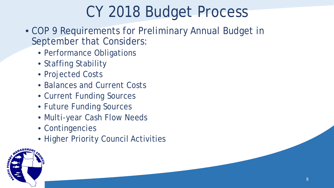# CY 2018 Budget Process

- COP 9 Requirements for Preliminary Annual Budget in September that Considers:
	- Performance Obligations
	- Staffing Stability
	- Projected Costs
	- Balances and Current Costs
	- Current Funding Sources
	- Future Funding Sources
	- Multi-year Cash Flow Needs
	- Contingencies
	- Higher Priority Council Activities

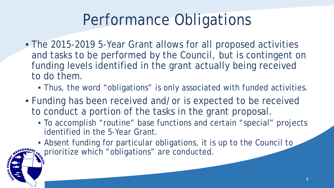# Performance Obligations

- The 2015-2019 5-Year Grant allows for all proposed activities and tasks to be performed by the Council, but is contingent on funding levels identified in the grant actually being received to do them.
	- Thus, the word "obligations" is only associated with funded activities.
- Funding has been received and/or is expected to be received to conduct a portion of the tasks in the grant proposal.
	- To accomplish "routine" base functions and certain "special" projects identified in the 5-Year Grant.
	- Absent funding for particular obligations, it is up to the Council to prioritize which "obligations" are conducted.

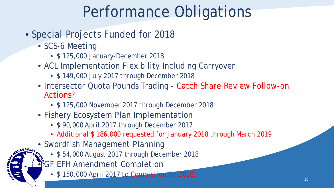# Performance Obligations

- Special Projects Funded for 2018
	- SCS-6 Meeting
		- \$ 125,000 January-December 2018
	- ACL Implementation Flexibility Including Carryover
		- \$ 149,000 July 2017 through December 2018
	- Intersector Quota Pounds Trading Catch Share Review Follow-on Actions?
		- \$ 125,000 November 2017 through December 2018
	- Fishery Ecosystem Plan Implementation
		- \$ 90,000 April 2017 through December 2017
		- Additional \$ 186,000 requested for January 2018 through March 2019
	- Swordfish Management Planning
		- \$ 54,000 August 2017 through December 2018
		- FGF EFH Amendment Completion
			- \$ 150,000 April 2017 to Completion (in 2018) 2018 10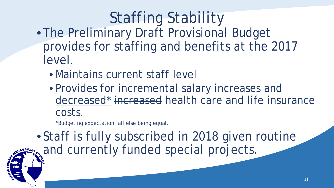# Staffing Stability

- The Preliminary Draft Provisional Budget provides for staffing and benefits at the 2017 level.
	- Maintains current staff level
	- Provides for incremental salary increases and decreased\* increased health care and life insurance costs.

\*Budgeting expectation, all else being equal.

• Staff is fully subscribed in 2018 given routine **ANGEMENTICO** and currently funded special projects.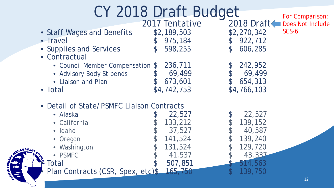|               |                                           | CY 2018 Draft Budget |               |              | For Comparison;  |
|---------------|-------------------------------------------|----------------------|---------------|--------------|------------------|
|               |                                           | 2017 Tentative       |               | 2018 Draft = | Does Not Include |
|               | • Staff Wages and Benefits                | \$2,189,503          |               | \$2,270,342  | $SCS-6$          |
|               | • Travel                                  | 975,184              | ${\mathbb S}$ | 922,712      |                  |
|               | • Supplies and Services                   | 598,255              | $\mathcal{C}$ | 606,285      |                  |
|               | • Contractual                             |                      |               |              |                  |
|               | • Council Member Compensation \$          | 236,711              |               | 242,952      |                  |
|               | • Advisory Body Stipends                  | 69,499               |               | 69,499       |                  |
|               | • Liaison and Plan                        | 673,601              |               | 654,313      |                  |
|               | • Total                                   | \$4,742,753          |               | \$4,766,103  |                  |
|               | • Detail of State/PSMFC Liaison Contracts |                      |               |              |                  |
|               | • Alaska                                  | 22,527               |               | 22,527       |                  |
|               | • California                              | 133,212              |               | 139,152      |                  |
|               | • Idaho                                   | 37,527               |               | 40,587       |                  |
|               | • Oregon                                  | 141,524              |               | 139,240      |                  |
| <b>NAGEME</b> | • Washington                              | 131,524              |               | 129,720      |                  |
|               | • PSMFC                                   | 41,537               |               | 43,337       |                  |
|               | Total                                     | 507,851              |               | 514,563      |                  |
|               | Plan Contracts (CSR, Spex, etc)\$         | 165,750              |               | 139,750      |                  |
|               |                                           |                      |               |              | 12               |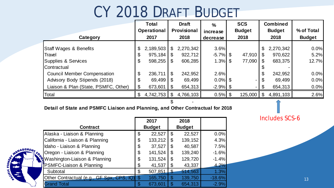### CY 2018 DRAFT BUDGET

|                                      |    | <b>Total</b><br><b>Operational</b> |                | <b>Draft</b><br><b>Provisional</b> | $\frac{0}{0}$<br>increase | <b>SCS</b><br><b>Budget</b> |                | <b>Combined</b><br><b>Budget</b> | % of Total |
|--------------------------------------|----|------------------------------------|----------------|------------------------------------|---------------------------|-----------------------------|----------------|----------------------------------|------------|
| Category                             |    | 2017<br>2018                       |                | decrease                           | 2018                      |                             | 2018           | <b>Budget</b>                    |            |
| <b>Staff Wages &amp; Benefits</b>    |    | 2,189,503                          | \$             | 2,270,342                          | 3.6%                      |                             | \$             | 2,270,342                        | 0.0%       |
| Travel                               | S  | 975,184                            | $\mathfrak{L}$ | 922,712                            | $-5.7\%$ \$               | $47,910$ \$                 |                | 970,622                          | 5.2%       |
| Supplies & Services                  | \$ | 598,255                            | -\$            | 606,285                            | $1.3\%$ \$                | $77,090$ \ \$               |                | 683,375                          | 12.7%      |
| Contractual                          |    |                                    |                |                                    |                           |                             |                |                                  |            |
| <b>Council Member Compensation</b>   | \$ | 236,711                            | $\mathfrak{L}$ | 242,952                            | 2.6%                      |                             | \$             | 242,952                          | 0.0%       |
| Advisory Body Stipends (2018)        | \$ | 69,499                             | - \$           | 69,499                             | $0.0\%$ \$                |                             | $\mathcal{L}$  | 69,499                           | 0.0%       |
| Liaison & Plan (State, PSMFC, Other) |    | 673,601                            | \$             | 654,313                            | $-2.9\%$ \$               |                             | \$             | 654,313                          | 0.0%       |
| Total                                |    | 4,742,753                          | \$             | 4,766,103                          | $0.5\%$ \$                | 125,000                     | $\mathfrak{S}$ | 4,891,103                        | 2.6%       |
|                                      |    |                                    |                |                                    |                           |                             |                |                                  |            |

#### **Detail of State and PSMFC Liaison and Planning, and Other Contractual for 2018**

|                                                                             | 2017          |                         | 2018          |          |
|-----------------------------------------------------------------------------|---------------|-------------------------|---------------|----------|
| <b>Contract</b>                                                             | <b>Budget</b> |                         | <b>Budget</b> |          |
| Alaska - Liaison & Planning                                                 | \$<br>22,527  | \$                      | 22,527        | 0.0%     |
| California - Liaison & Planning                                             | \$<br>133,212 | S                       | 139,152       | 4.3%     |
| Idaho - Liaison & Planning                                                  | \$<br>37,527  | S                       | 40,587        | 7.5%     |
| <b>Comparison - Liaison &amp; Planning</b><br>Washington-Liaison & Planning | \$<br>141,524 | S                       | 139,240       | $-1.6%$  |
|                                                                             | \$<br>131,524 | \$                      | 129,720       | $-1.4%$  |
|                                                                             | \$<br>41,537  |                         | 43,337        | 4.2%     |
| Subtotal                                                                    | \$<br>507,851 |                         | 514,563       | 1.3%     |
| Other Contractual (e.g., GF Spx, CPS, IQ)                                   | 165,750       | $\mathbf{\mathfrak{S}}$ | 139,750       | $-18.6%$ |
| <b>Grand Total</b>                                                          | 673,601       |                         | 654,313       | $-2.9%$  |

NAGEME

Includes SCS-6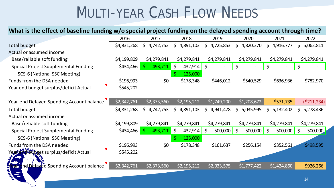### MULTI-YEAR CASH FLOW NEEDS

### **What is the effect of baseline funding w/o special project funding on the delayed spending account through time?**

|                                               | 2016        | 2017             | 2018             | 2019               | 2020                    | 2021                    | 2022               |
|-----------------------------------------------|-------------|------------------|------------------|--------------------|-------------------------|-------------------------|--------------------|
| Total budget                                  | \$4,831,268 | \$.<br>4,742,753 | \$.<br>4,891,103 | 4,725,853<br>\$    | \$<br>4,820,370         | \$<br>4,916,777         | \$.<br>5,062,811   |
| Actual or assumed income                      |             |                  |                  |                    |                         |                         |                    |
| Base/reliable soft funding                    | \$4,199,809 | \$4,279,841      | \$4,279,841      | \$4,279,841        | \$4,279,841             | \$4,279,841             | \$4,279,841        |
| <b>Special Project Supplemental Funding</b>   | \$434,466   | $493,711$ \$     | $432,914$ \$     |                    | \$                      |                         | \$                 |
| SCS-6 (National SSC Meeting)                  |             |                  | 125,000          |                    |                         |                         |                    |
| Funds from the DSA needed                     | \$196,993   | \$0              | \$178,348        | \$446,012          | \$540,529               | \$636,936               | \$782,970          |
| Year end budget surplus/deficit Actual        | \$545,202   |                  |                  |                    |                         |                         |                    |
|                                               |             |                  |                  |                    |                         |                         |                    |
| Year-end Delayed Spending Account balance     | \$2,342,761 | \$2,373,560      | \$2,195,212      | \$1,749,200        | \$1,208,672             | \$571,735               | ( \$211, 234)      |
| <b>Total budget</b>                           | \$4,831,268 | \$<br>4,742,753  | \$<br>4,891,103  | 4,941,478<br>\$.   | 5,035,995<br>S.         | 5,132,402<br>\$         | 5,278,436<br>\$.   |
| Actual or assumed income                      |             |                  |                  |                    |                         |                         |                    |
| Base/reliable soft funding                    | \$4,199,809 | \$4,279,841      | \$4,279,841      | \$4,279,841        | \$4,279,841             | \$4,279,841             | \$4,279,841        |
| <b>Special Project Supplemental Funding</b>   | \$434,466   | 493,711          | ∥\$<br>432,914   | $\zeta$<br>500,000 | 500,000<br>$\mathsf{S}$ | S.<br>500,000           | $\zeta$<br>500,000 |
| SCS-6 (National SSC Meeting)                  |             |                  | 125,000          |                    |                         |                         |                    |
| Funds from the DSA needed                     | \$196,993   | \$0              | \$178,348        | \$161,637          | \$256,154               | \$352,561               | \$498,595          |
| Year Birg Bytle et surplus/deficit Actual     | \$545,202   |                  |                  |                    |                         |                         |                    |
|                                               |             |                  |                  |                    |                         |                         |                    |
| ₩<br>ear-end Delayed Spending Account balance | \$2,342,761 | \$2,373,560      | \$2,195,212      | \$2,033,575        | \$1,777,422             | $\overline{51,}424,860$ | \$926,266          |
| $\frac{1}{2}$<br>$-$                          |             |                  |                  |                    |                         |                         |                    |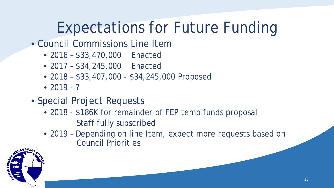# Expectations for Future Funding

- Council Commissions Line Item
	- 2016 \$33,470,000 Enacted
	- 2017 \$34,245,000 Enacted
	- 2018 \$33,407,000 \$34,245,000 Proposed
	- $2019 ?$
- Special Project Requests
	- 2018 \$186K for remainder of FEP temp funds proposal Staff fully subscribed
	- 2019 Depending on line Item, expect more requests based on Council Priorities

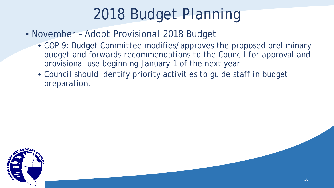# 2018 Budget Planning

- November Adopt Provisional 2018 Budget
	- COP 9: Budget Committee modifies/approves the proposed preliminary budget and forwards recommendations to the Council for approval and provisional use beginning January 1 of the next year.
	- Council should identify priority activities to guide staff in budget preparation.

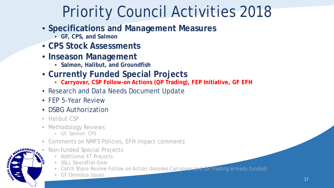# Priority Council Activities 2018

- **Specifications and Management Measures**
	- **GF, CPS, and Salmon**
- **CPS Stock Assessments**
- **Inseason Management**
	- **Salmon, Halibut, and Groundfish**
- **Currently Funded Special Projects**
	- **Carryover, CSP Follow-on Actions (QP Trading), FEP Initiative, GF EFH**
- Research and Data Needs Document Update
- FEP 5-Year Review
- DSBG Authorization
- Halibut CSP
- Methodology Reviews
	- GF, Salmon. CPS
- Comments on NMFS Policies, EFH impact comments
- Non-funded Special Projects
	- Additional ET Projects
	- SSLL Swordfish Gear
	- Catch Share Review Follow-on Action (besides Carryover and OP trading already funded)
	- GF Omnibus Issues